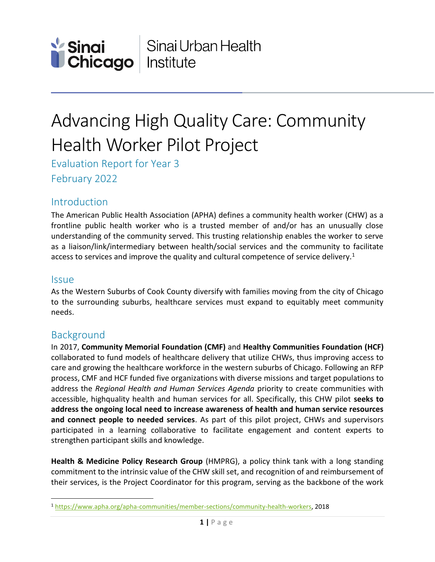

# Advancing High Quality Care: Community Health Worker Pilot Project

Evaluation Report for Year 3 February 2022

# **Introduction**

The American Public Health Association (APHA) defines a community health worker (CHW) as a frontline public health worker who is a trusted member of and/or has an unusually close understanding of the community served. This trusting relationship enables the worker to serve as a liaison/link/intermediary between health/social services and the community to facilitate access to services and improve the quality and cultural competence of service delivery.<sup>1</sup>

### **Issue**

 $\overline{\phantom{a}}$ 

As the Western Suburbs of Cook County diversify with families moving from the city of Chicago to the surrounding suburbs, healthcare services must expand to equitably meet community needs.

### Background

In 2017, **Community Memorial Foundation (CMF)** and **Healthy Communities Foundation (HCF)** collaborated to fund models of healthcare delivery that utilize CHWs, thus improving access to care and growing the healthcare workforce in the western suburbs of Chicago. Following an RFP process, CMF and HCF funded five organizations with diverse missions and target populations to address the *Regional Health and Human Services Agenda* priority to create communities with accessible, highquality health and human services for all. Specifically, this CHW pilot **seeks to address the ongoing local need to increase awareness of health and human service resources and connect people to needed services**. As part of this pilot project, CHWs and supervisors participated in a learning collaborative to facilitate engagement and content experts to strengthen participant skills and knowledge.

**Health & Medicine Policy Research Group** (HMPRG), a policy think tank with a long standing commitment to the intrinsic value of the CHW skill set, and recognition of and reimbursement of their services, is the Project Coordinator for this program, serving as the backbone of the work

<sup>1</sup> [https://www.apha.org/apha-communities/member-sections/community-health-workers,](https://www.apha.org/apha-communities/member-sections/community-health-workers) 2018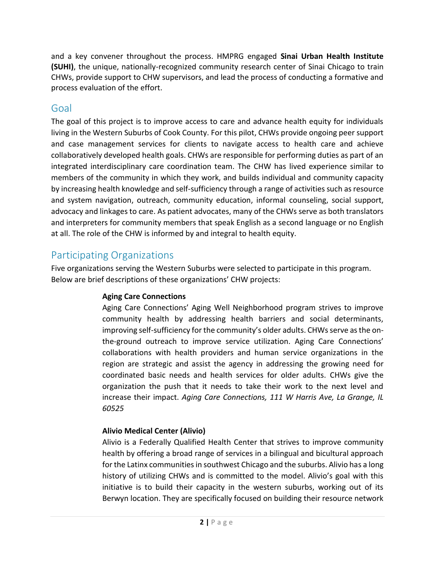and a key convener throughout the process. HMPRG engaged **Sinai Urban Health Institute (SUHI)**, the unique, nationally-recognized community research center of Sinai Chicago to train CHWs, provide support to CHW supervisors, and lead the process of conducting a formative and process evaluation of the effort.

# Goal

The goal of this project is to improve access to care and advance health equity for individuals living in the Western Suburbs of Cook County. For this pilot, CHWs provide ongoing peer support and case management services for clients to navigate access to health care and achieve collaboratively developed health goals. CHWs are responsible for performing duties as part of an integrated interdisciplinary care coordination team. The CHW has lived experience similar to members of the community in which they work, and builds individual and community capacity by increasing health knowledge and self-sufficiency through a range of activities such as resource and system navigation, outreach, community education, informal counseling, social support, advocacy and linkages to care. As patient advocates, many of the CHWs serve as both translators and interpreters for community members that speak English as a second language or no English at all. The role of the CHW is informed by and integral to health equity.

# Participating Organizations

Five organizations serving the Western Suburbs were selected to participate in this program. Below are brief descriptions of these organizations' CHW projects:

### **Aging Care Connections**

Aging Care Connections' Aging Well Neighborhood program strives to improve community health by addressing health barriers and social determinants, improving self-sufficiency for the community's older adults. CHWs serve as the onthe-ground outreach to improve service utilization. Aging Care Connections' collaborations with health providers and human service organizations in the region are strategic and assist the agency in addressing the growing need for coordinated basic needs and health services for older adults. CHWs give the organization the push that it needs to take their work to the next level and increase their impact. *Aging Care Connections, 111 W Harris Ave, La Grange, IL 60525*

### **Alivio Medical Center (Alivio)**

Alivio is a Federally Qualified Health Center that strives to improve community health by offering a broad range of services in a bilingual and bicultural approach for the Latinx communities in southwest Chicago and the suburbs. Alivio has a long history of utilizing CHWs and is committed to the model. Alivio's goal with this initiative is to build their capacity in the western suburbs, working out of its Berwyn location. They are specifically focused on building their resource network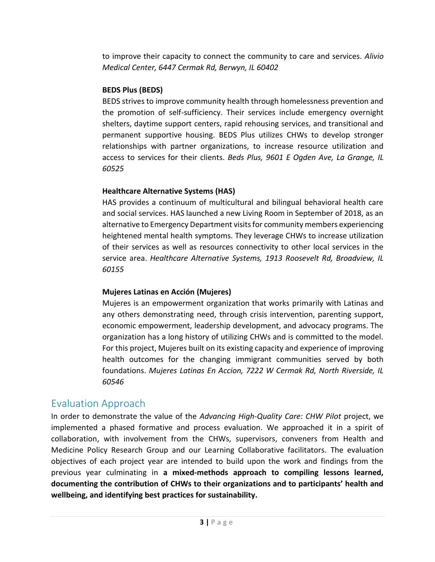to improve their capacity to connect the community to care and services. *Alivio Medical Center, 6447 Cermak Rd, Berwyn, IL 60402*

### **BEDS Plus (BEDS)**

BEDS strives to improve community health through homelessness prevention and the promotion of self-sufficiency. Their services include emergency overnight shelters, daytime support centers, rapid rehousing services, and transitional and permanent supportive housing. BEDS Plus utilizes CHWs to develop stronger relationships with partner organizations, to increase resource utilization and access to services for their clients. *Beds Plus, 9601 E Ogden Ave, La Grange, IL 60525*

### **Healthcare Alternative Systems (HAS)**

HAS provides a continuum of multicultural and bilingual behavioral health care and social services. HAS launched a new Living Room in September of 2018, as an alternative to Emergency Department visits for community members experiencing heightened mental health symptoms. They leverage CHWs to increase utilization of their services as well as resources connectivity to other local services in the service area. *Healthcare Alternative Systems, 1913 Roosevelt Rd, Broadview, IL 60155*

### **Mujeres Latinas en Acción (Mujeres)**

Mujeres is an empowerment organization that works primarily with Latinas and any others demonstrating need, through crisis intervention, parenting support, economic empowerment, leadership development, and advocacy programs. The organization has a long history of utilizing CHWs and is committed to the model. For this project, Mujeres built on its existing capacity and experience of improving health outcomes for the changing immigrant communities served by both foundations. *Mujeres Latinas En Accion, 7222 W Cermak Rd, North Riverside, IL 60546*

# Evaluation Approach

In order to demonstrate the value of the *Advancing High-Quality Care: CHW Pilot* project, we implemented a phased formative and process evaluation. We approached it in a spirit of collaboration, with involvement from the CHWs, supervisors, conveners from Health and Medicine Policy Research Group and our Learning Collaborative facilitators. The evaluation objectives of each project year are intended to build upon the work and findings from the previous year culminating in **a mixed-methods approach to compiling lessons learned, documenting the contribution of CHWs to their organizations and to participants' health and wellbeing, and identifying best practices for sustainability.**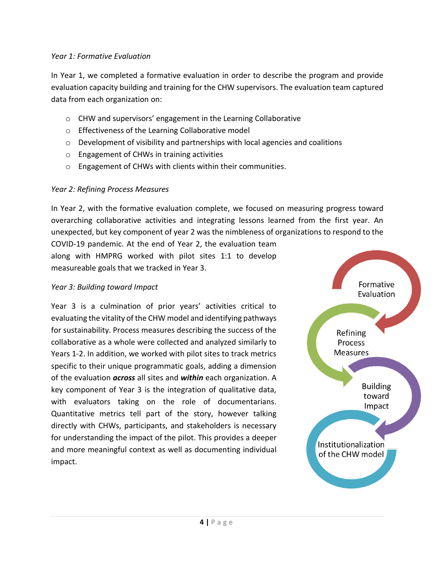#### *Year 1: Formative Evaluation*

In Year 1, we completed a formative evaluation in order to describe the program and provide evaluation capacity building and training for the CHW supervisors. The evaluation team captured data from each organization on:

- o CHW and supervisors' engagement in the Learning Collaborative
- o Effectiveness of the Learning Collaborative model
- $\circ$  Development of visibility and partnerships with local agencies and coalitions
- o Engagement of CHWs in training activities
- o Engagement of CHWs with clients within their communities.

### *Year 2: Refining Process Measures*

In Year 2, with the formative evaluation complete, we focused on measuring progress toward overarching collaborative activities and integrating lessons learned from the first year. An unexpected, but key component of year 2 was the nimbleness of organizations to respond to the

COVID-19 pandemic. At the end of Year 2, the evaluation team along with HMPRG worked with pilot sites 1:1 to develop measureable goals that we tracked in Year 3.

#### *Year 3: Building toward Impact*

Year 3 is a culmination of prior years' activities critical to evaluating the vitality of the CHW model and identifying pathways for sustainability. Process measures describing the success of the collaborative as a whole were collected and analyzed similarly to Years 1-2. In addition, we worked with pilot sites to track metrics specific to their unique programmatic goals, adding a dimension of the evaluation *across* all sites and *within* each organization. A key component of Year 3 is the integration of qualitative data, with evaluators taking on the role of documentarians. Quantitative metrics tell part of the story, however talking directly with CHWs, participants, and stakeholders is necessary for understanding the impact of the pilot. This provides a deeper and more meaningful context as well as documenting individual impact.

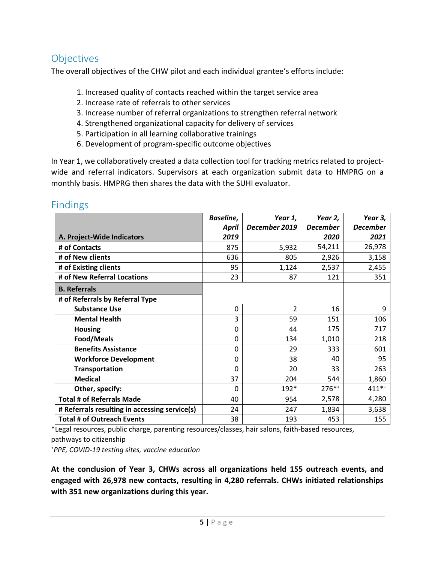# **Objectives**

The overall objectives of the CHW pilot and each individual grantee's efforts include:

- 1. Increased quality of contacts reached within the target service area
- 2. Increase rate of referrals to other services
- 3. Increase number of referral organizations to strengthen referral network
- 4. Strengthened organizational capacity for delivery of services
- 5. Participation in all learning collaborative trainings
- 6. Development of program-specific outcome objectives

In Year 1, we collaboratively created a data collection tool for tracking metrics related to projectwide and referral indicators. Supervisors at each organization submit data to HMPRG on a monthly basis. HMPRG then shares the data with the SUHI evaluator.

|                                               | Baseline, | Year 1,       | Year 2,         | Year 3,         |
|-----------------------------------------------|-----------|---------------|-----------------|-----------------|
|                                               | April     | December 2019 | <b>December</b> | <b>December</b> |
| A. Project-Wide Indicators                    | 2019      |               | 2020            | 2021            |
| # of Contacts                                 | 875       | 5,932         | 54,211          | 26,978          |
| # of New clients                              | 636       | 805           | 2,926           | 3,158           |
| # of Existing clients                         | 95        | 1,124         | 2,537           | 2,455           |
| # of New Referral Locations                   | 23        | 87            | 121             | 351             |
| <b>B.</b> Referrals                           |           |               |                 |                 |
| # of Referrals by Referral Type               |           |               |                 |                 |
| <b>Substance Use</b>                          | 0         | 2             | 16              | 9               |
| <b>Mental Health</b>                          | 3         | 59            | 151             | 106             |
| <b>Housing</b>                                | 0         | 44            | 175             | 717             |
| Food/Meals                                    | 0         | 134           | 1,010           | 218             |
| <b>Benefits Assistance</b>                    | 0         | 29            | 333             | 601             |
| <b>Workforce Development</b>                  | 0         | 38            | 40              | 95              |
| <b>Transportation</b>                         | $\Omega$  | 20            | 33              | 263             |
| <b>Medical</b>                                | 37        | 204           | 544             | 1,860           |
| Other, specify:                               | 0         | 192*          | $276***$        | $411**$         |
| <b>Total # of Referrals Made</b>              | 40        | 954           | 2,578           | 4,280           |
| # Referrals resulting in accessing service(s) | 24        | 247           | 1,834           | 3,638           |
| <b>Total # of Outreach Events</b>             | 38        | 193           | 453             | 155             |

# Findings

\*Legal resources, public charge, parenting resources/classes, hair salons, faith-based resources, pathways to citizenship

*<sup>+</sup>PPE, COVID-19 testing sites, vaccine education*

**At the conclusion of Year 3, CHWs across all organizations held 155 outreach events, and engaged with 26,978 new contacts, resulting in 4,280 referrals. CHWs initiated relationships with 351 new organizations during this year.**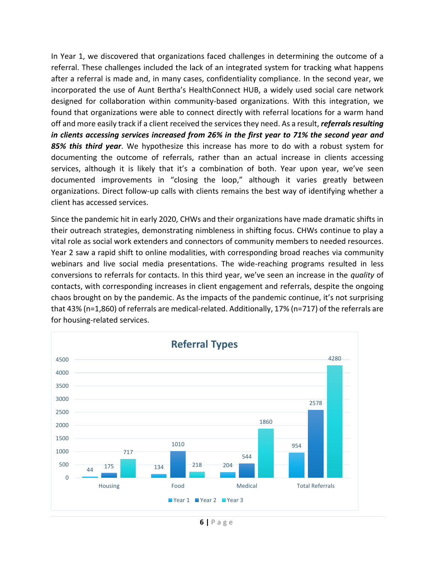In Year 1, we discovered that organizations faced challenges in determining the outcome of a referral. These challenges included the lack of an integrated system for tracking what happens after a referral is made and, in many cases, confidentiality compliance. In the second year, we incorporated the use of Aunt Bertha's HealthConnect HUB, a widely used social care network designed for collaboration within community-based organizations. With this integration, we found that organizations were able to connect directly with referral locations for a warm hand off and more easily track if a client received the services they need. As a result, *referrals resulting in clients accessing services increased from 26% in the first year to 71% the second year and 85% this third year*. We hypothesize this increase has more to do with a robust system for documenting the outcome of referrals, rather than an actual increase in clients accessing services, although it is likely that it's a combination of both. Year upon year, we've seen documented improvements in "closing the loop," although it varies greatly between organizations. Direct follow-up calls with clients remains the best way of identifying whether a client has accessed services.

Since the pandemic hit in early 2020, CHWs and their organizations have made dramatic shifts in their outreach strategies, demonstrating nimbleness in shifting focus. CHWs continue to play a vital role as social work extenders and connectors of community members to needed resources. Year 2 saw a rapid shift to online modalities, with corresponding broad reaches via community webinars and live social media presentations. The wide-reaching programs resulted in less conversions to referrals for contacts. In this third year, we've seen an increase in the *quality* of contacts, with corresponding increases in client engagement and referrals, despite the ongoing chaos brought on by the pandemic. As the impacts of the pandemic continue, it's not surprising that 43% (n=1,860) of referrals are medical-related. Additionally, 17% (n=717) of the referrals are for housing-related services.

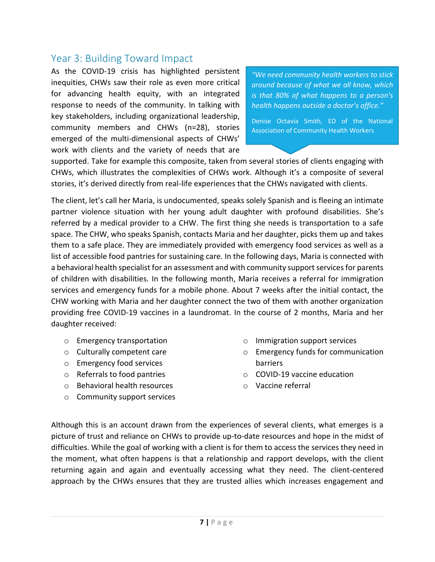### Year 3: Building Toward Impact

As the COVID-19 crisis has highlighted persistent inequities, CHWs saw their role as even more critical for advancing health equity, with an integrated response to needs of the community. In talking with key stakeholders, including organizational leadership, community members and CHWs (n=28), stories emerged of the multi-dimensional aspects of CHWs' work with clients and the variety of needs that are

*"We need community health workers to stick around because of what we all know, which is that 80% of what happens to a person's health happens outside a doctor's office."*

Denise Octavia Smith, ED of the National Association of Community Health Workers

supported. Take for example this composite, taken from several stories of clients engaging with CHWs, which illustrates the complexities of CHWs work. Although it's a composite of several stories, it's derived directly from real-life experiences that the CHWs navigated with clients.

The client, let's call her Maria, is undocumented, speaks solely Spanish and is fleeing an intimate partner violence situation with her young adult daughter with profound disabilities. She's referred by a medical provider to a CHW. The first thing she needs is transportation to a safe space. The CHW, who speaks Spanish, contacts Maria and her daughter, picks them up and takes them to a safe place. They are immediately provided with emergency food services as well as a list of accessible food pantries for sustaining care. In the following days, Maria is connected with a behavioral health specialist for an assessment and with community support services for parents of children with disabilities. In the following month, Maria receives a referral for immigration services and emergency funds for a mobile phone. About 7 weeks after the initial contact, the CHW working with Maria and her daughter connect the two of them with another organization providing free COVID-19 vaccines in a laundromat. In the course of 2 months, Maria and her daughter received:

- o Emergency transportation
- o Culturally competent care
- o Emergency food services
- o Referrals to food pantries
- o Behavioral health resources
- o Community support services
- o Immigration support services
- o Emergency funds for communication barriers
- o COVID-19 vaccine education
- o Vaccine referral

Although this is an account drawn from the experiences of several clients, what emerges is a picture of trust and reliance on CHWs to provide up-to-date resources and hope in the midst of difficulties. While the goal of working with a client is for them to access the services they need in the moment, what often happens is that a relationship and rapport develops, with the client returning again and again and eventually accessing what they need. The client-centered approach by the CHWs ensures that they are trusted allies which increases engagement and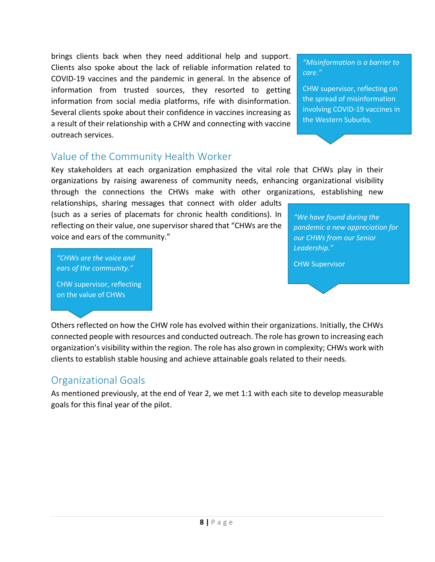brings clients back when they need additional help and support. Clients also spoke about the lack of reliable information related to COVID-19 vaccines and the pandemic in general. In the absence of information from trusted sources, they resorted to getting information from social media platforms, rife with disinformation. Several clients spoke about their confidence in vaccines increasing as a result of their relationship with a CHW and connecting with vaccine outreach services.

*"Misinformation is a barrier to care."*

CHW supervisor, reflecting on the spread of misinformation involving COVID-19 vaccines in the Western Suburbs.

# Value of the Community Health Worker

Key stakeholders at each organization emphasized the vital role that CHWs play in their organizations by raising awareness of community needs, enhancing organizational visibility through the connections the CHWs make with other organizations, establishing new

relationships, sharing messages that connect with older adults (such as a series of placemats for chronic health conditions). In reflecting on their value, one supervisor shared that "CHWs are the voice and ears of the community."

*"We have found during the pandemic a new appreciation for our CHWs from our Senior Leadership."*

CHW Supervisor

*"CHWs are the voice and ears of the community."*

CHW supervisor, reflecting on the value of CHWs

Others reflected on how the CHW role has evolved within their organizations. Initially, the CHWs connected people with resources and conducted outreach. The role has grown to increasing each organization's visibility within the region. The role has also grown in complexity; CHWs work with clients to establish stable housing and achieve attainable goals related to their needs.

# Organizational Goals

As mentioned previously, at the end of Year 2, we met 1:1 with each site to develop measurable goals for this final year of the pilot.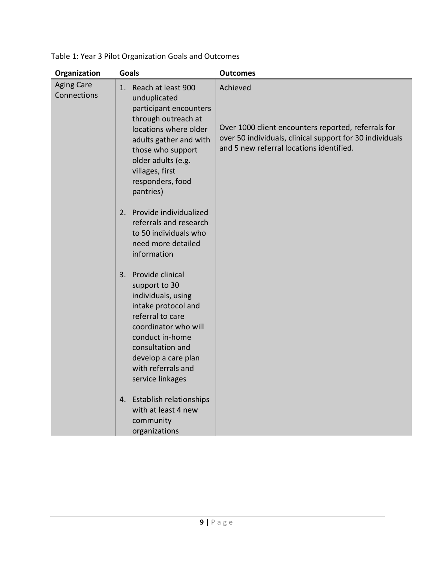| Organization                     | <b>Goals</b>                                                                                                                                                                                                                             | <b>Outcomes</b>                                                                                                                                                         |
|----------------------------------|------------------------------------------------------------------------------------------------------------------------------------------------------------------------------------------------------------------------------------------|-------------------------------------------------------------------------------------------------------------------------------------------------------------------------|
| <b>Aging Care</b><br>Connections | 1. Reach at least 900<br>unduplicated<br>participant encounters<br>through outreach at<br>locations where older<br>adults gather and with<br>those who support<br>older adults (e.g.<br>villages, first<br>responders, food<br>pantries) | Achieved<br>Over 1000 client encounters reported, referrals for<br>over 50 individuals, clinical support for 30 individuals<br>and 5 new referral locations identified. |
|                                  | Provide individualized<br>2.<br>referrals and research<br>to 50 individuals who<br>need more detailed<br>information                                                                                                                     |                                                                                                                                                                         |
|                                  | 3. Provide clinical<br>support to 30<br>individuals, using<br>intake protocol and<br>referral to care<br>coordinator who will<br>conduct in-home<br>consultation and<br>develop a care plan<br>with referrals and<br>service linkages    |                                                                                                                                                                         |
|                                  | 4. Establish relationships<br>with at least 4 new<br>community<br>organizations                                                                                                                                                          |                                                                                                                                                                         |

Table 1: Year 3 Pilot Organization Goals and Outcomes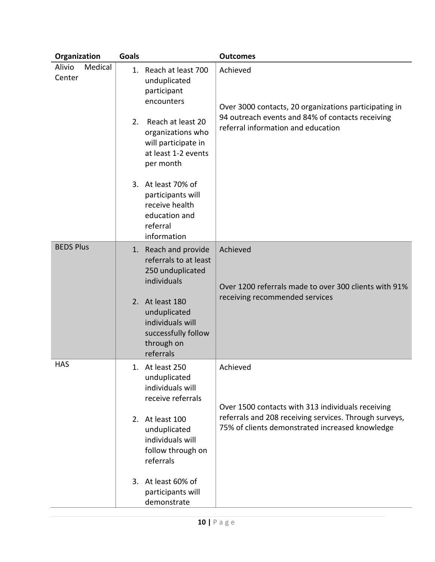| Organization                                                                                          | <b>Goals</b>                   |                                                                                                       | <b>Outcomes</b>                                                                                           |  |
|-------------------------------------------------------------------------------------------------------|--------------------------------|-------------------------------------------------------------------------------------------------------|-----------------------------------------------------------------------------------------------------------|--|
| Alivio<br>Medical<br>Center                                                                           | 1.                             | Reach at least 700<br>unduplicated<br>participant<br>encounters                                       | Achieved<br>Over 3000 contacts, 20 organizations participating in                                         |  |
|                                                                                                       | 2.                             | Reach at least 20<br>organizations who<br>will participate in<br>at least 1-2 events<br>per month     | 94 outreach events and 84% of contacts receiving<br>referral information and education                    |  |
|                                                                                                       |                                | 3. At least 70% of<br>participants will<br>receive health<br>education and<br>referral<br>information |                                                                                                           |  |
| <b>BEDS Plus</b>                                                                                      |                                | 1. Reach and provide<br>referrals to at least<br>250 unduplicated<br>individuals                      | Achieved<br>Over 1200 referrals made to over 300 clients with 91%                                         |  |
| 2. At least 180<br>unduplicated<br>individuals will<br>successfully follow<br>through on<br>referrals | receiving recommended services |                                                                                                       |                                                                                                           |  |
| <b>HAS</b>                                                                                            |                                | 1. At least 250<br>unduplicated<br>individuals will<br>receive referrals                              | Achieved<br>Over 1500 contacts with 313 individuals receiving                                             |  |
|                                                                                                       |                                | 2. At least 100<br>unduplicated<br>individuals will<br>follow through on<br>referrals                 | referrals and 208 receiving services. Through surveys,<br>75% of clients demonstrated increased knowledge |  |
|                                                                                                       |                                | 3. At least 60% of<br>participants will<br>demonstrate                                                |                                                                                                           |  |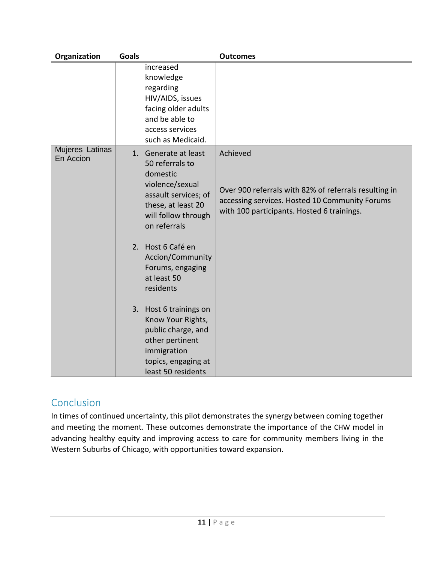| Organization                 | <b>Goals</b> |                                                                                                                                                             | <b>Outcomes</b>                                                                                                                                                   |
|------------------------------|--------------|-------------------------------------------------------------------------------------------------------------------------------------------------------------|-------------------------------------------------------------------------------------------------------------------------------------------------------------------|
|                              |              | increased<br>knowledge<br>regarding<br>HIV/AIDS, issues<br>facing older adults<br>and be able to<br>access services<br>such as Medicaid.                    |                                                                                                                                                                   |
| Mujeres Latinas<br>En Accion |              | 1. Generate at least<br>50 referrals to<br>domestic<br>violence/sexual<br>assault services; of<br>these, at least 20<br>will follow through<br>on referrals | Achieved<br>Over 900 referrals with 82% of referrals resulting in<br>accessing services. Hosted 10 Community Forums<br>with 100 participants. Hosted 6 trainings. |
|                              |              | 2. Host 6 Café en<br>Accion/Community<br>Forums, engaging<br>at least 50<br>residents                                                                       |                                                                                                                                                                   |
|                              |              | 3. Host 6 trainings on<br>Know Your Rights,<br>public charge, and<br>other pertinent<br>immigration<br>topics, engaging at<br>least 50 residents            |                                                                                                                                                                   |

# Conclusion

In times of continued uncertainty, this pilot demonstrates the synergy between coming together and meeting the moment. These outcomes demonstrate the importance of the CHW model in advancing healthy equity and improving access to care for community members living in the Western Suburbs of Chicago, with opportunities toward expansion.